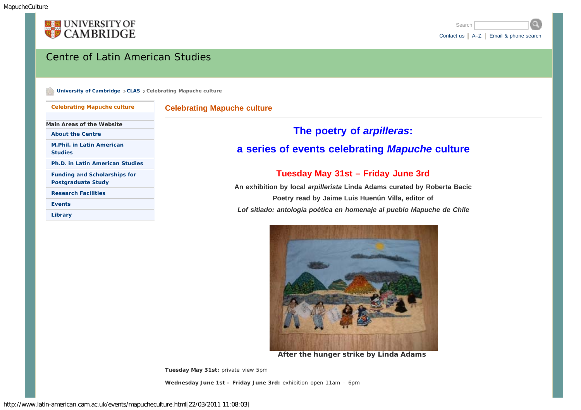<span id="page-0-0"></span>



### Centre of Latin American Studies

**[University of Cambridge](http://www.cam.ac.uk/) [CLAS](http://www.latin-american.cam.ac.uk/) Celebrating Mapuche culture** 

**[Celebrating Mapuche culture](#page-0-0)** 

#### **Celebrating Mapuche culture**

**Main Areas of the Website**

**[About the Centre](http://www.latin-american.cam.ac.uk/info/)**

**[M.Phil. in Latin American](http://www.latin-american.cam.ac.uk/study/mphil/) [Studies](http://www.latin-american.cam.ac.uk/study/mphil/)**

**[Ph.D. in Latin American Studies](http://www.latin-american.cam.ac.uk/study/phd/)**

**[Funding and Scholarships for](http://www.latin-american.cam.ac.uk/study/funding/) [Postgraduate Study](http://www.latin-american.cam.ac.uk/study/funding/)**

**[Research Facilities](http://www.latin-american.cam.ac.uk/research/)**

**[Events](http://www.latin-american.cam.ac.uk/events/)**

**[Library](http://www.latin-american.cam.ac.uk/library/)**

## **The poetry of** *arpilleras***:**

# **a series of events celebrating** *Mapuche* **culture**

#### **Tuesday May 31st – Friday June 3rd**

**An exhibition by local** *arpillerista* **Linda Adams curated by Roberta Bacic Poetry read by Jaime Luis Huenún Villa, editor of** *Lof sitiado: antología poética en homenaje al pueblo Mapuche de Chile*



*After the hunger strike* **by Linda Adams**

**Tuesday May 31st:** *private view 5pm*

**Wednesday June 1st – Friday June 3rd:** *exhibition open 11am – 6pm*